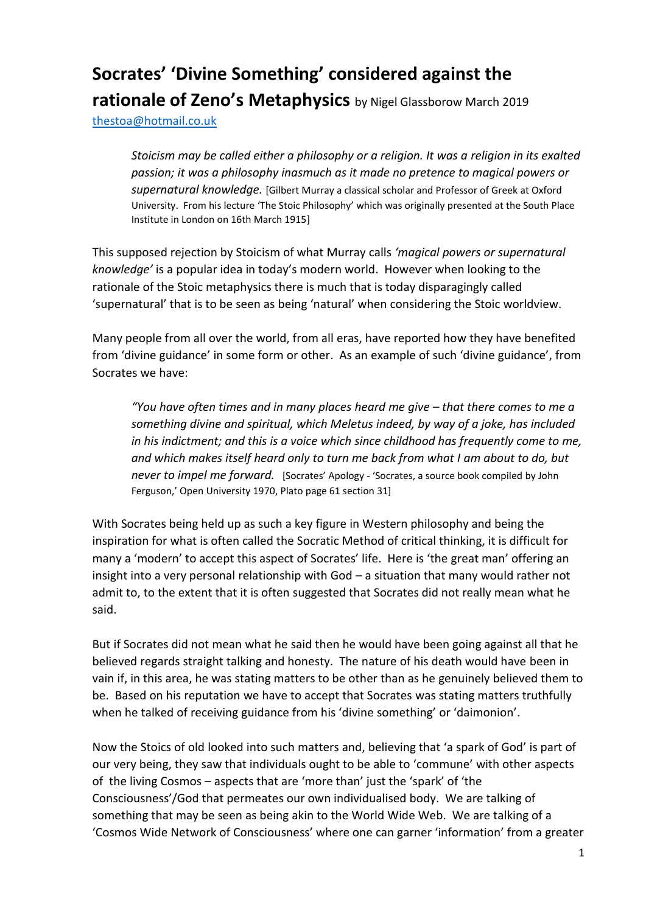## **Socrates' 'Divine Something' considered against the rationale of Zeno's Metaphysics** by Nigel Glassborow March <sup>2019</sup>

[thestoa@hotmail.co.uk](mailto:thestoa@hotmail.co.uk)

*Stoicism may be called either a philosophy or a religion. It was a religion in its exalted passion; it was a philosophy inasmuch as it made no pretence to magical powers or supernatural knowledge.* [Gilbert Murray a classical scholar and Professor of Greek at Oxford University. From his lecture 'The Stoic Philosophy' which was originally presented at the South Place Institute in London on 16th March 1915]

This supposed rejection by Stoicism of what Murray calls *'magical powers or supernatural knowledge'* is a popular idea in today's modern world. However when looking to the rationale of the Stoic metaphysics there is much that is today disparagingly called 'supernatural' that is to be seen as being 'natural' when considering the Stoic worldview.

Many people from all over the world, from all eras, have reported how they have benefited from 'divine guidance' in some form or other. As an example of such 'divine guidance', from Socrates we have:

*"You have often times and in many places heard me give – that there comes to me a something divine and spiritual, which Meletus indeed, by way of a joke, has included in his indictment; and this is a voice which since childhood has frequently come to me, and which makes itself heard only to turn me back from what I am about to do, but never to impel me forward.* [Socrates' Apology - 'Socrates, a source book compiled by John Ferguson,' Open University 1970, Plato page 61 section 31]

With Socrates being held up as such a key figure in Western philosophy and being the inspiration for what is often called the Socratic Method of critical thinking, it is difficult for many a 'modern' to accept this aspect of Socrates' life. Here is 'the great man' offering an insight into a very personal relationship with God – a situation that many would rather not admit to, to the extent that it is often suggested that Socrates did not really mean what he said.

But if Socrates did not mean what he said then he would have been going against all that he believed regards straight talking and honesty. The nature of his death would have been in vain if, in this area, he was stating matters to be other than as he genuinely believed them to be. Based on his reputation we have to accept that Socrates was stating matters truthfully when he talked of receiving guidance from his 'divine something' or 'daimonion'.

Now the Stoics of old looked into such matters and, believing that 'a spark of God' is part of our very being, they saw that individuals ought to be able to 'commune' with other aspects of the living Cosmos – aspects that are 'more than' just the 'spark' of 'the Consciousness'/God that permeates our own individualised body. We are talking of something that may be seen as being akin to the World Wide Web. We are talking of a 'Cosmos Wide Network of Consciousness' where one can garner 'information' from a greater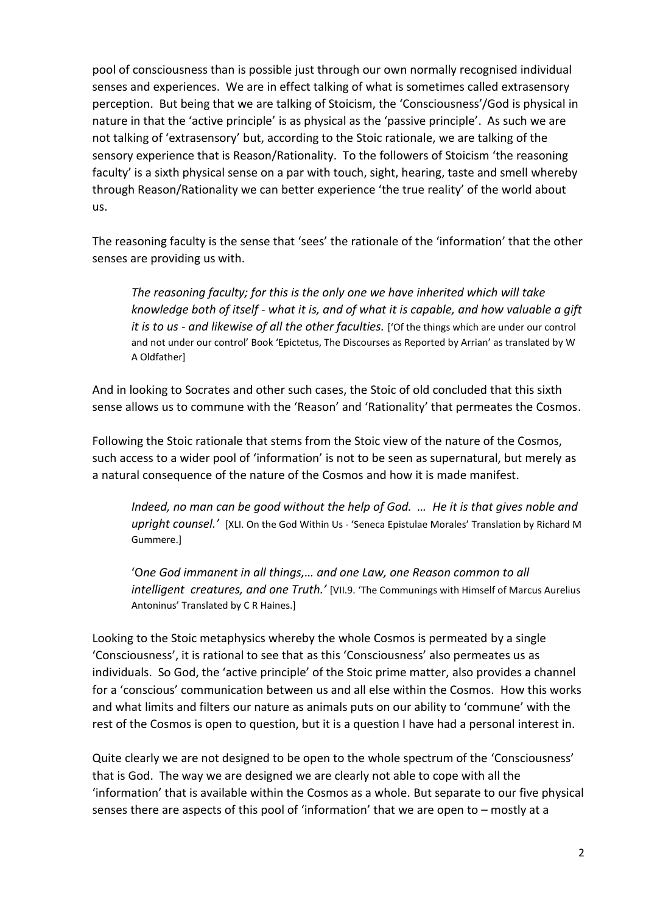pool of consciousness than is possible just through our own normally recognised individual senses and experiences. We are in effect talking of what is sometimes called extrasensory perception. But being that we are talking of Stoicism, the 'Consciousness'/God is physical in nature in that the 'active principle' is as physical as the 'passive principle'. As such we are not talking of 'extrasensory' but, according to the Stoic rationale, we are talking of the sensory experience that is Reason/Rationality. To the followers of Stoicism 'the reasoning faculty' is a sixth physical sense on a par with touch, sight, hearing, taste and smell whereby through Reason/Rationality we can better experience 'the true reality' of the world about us.

The reasoning faculty is the sense that 'sees' the rationale of the 'information' that the other senses are providing us with.

*The reasoning faculty; for this is the only one we have inherited which will take knowledge both of itself - what it is, and of what it is capable, and how valuable a gift it is to us - and likewise of all the other faculties.* ['Of the things which are under our control and not under our control' Book 'Epictetus, The Discourses as Reported by Arrian' as translated by W A Oldfather]

And in looking to Socrates and other such cases, the Stoic of old concluded that this sixth sense allows us to commune with the 'Reason' and 'Rationality' that permeates the Cosmos.

Following the Stoic rationale that stems from the Stoic view of the nature of the Cosmos, such access to a wider pool of 'information' is not to be seen as supernatural, but merely as a natural consequence of the nature of the Cosmos and how it is made manifest.

*Indeed, no man can be good without the help of God. … He it is that gives noble and upright counsel.'* [XLI. On the God Within Us - 'Seneca Epistulae Morales' Translation by Richard M Gummere.]

'O*ne God immanent in all things,… and one Law, one Reason common to all intelligent creatures, and one Truth.'* [VII.9. 'The Communings with Himself of Marcus Aurelius Antoninus' Translated by C R Haines.]

Looking to the Stoic metaphysics whereby the whole Cosmos is permeated by a single 'Consciousness', it is rational to see that as this 'Consciousness' also permeates us as individuals. So God, the 'active principle' of the Stoic prime matter, also provides a channel for a 'conscious' communication between us and all else within the Cosmos. How this works and what limits and filters our nature as animals puts on our ability to 'commune' with the rest of the Cosmos is open to question, but it is a question I have had a personal interest in.

Quite clearly we are not designed to be open to the whole spectrum of the 'Consciousness' that is God. The way we are designed we are clearly not able to cope with all the 'information' that is available within the Cosmos as a whole. But separate to our five physical senses there are aspects of this pool of 'information' that we are open to – mostly at a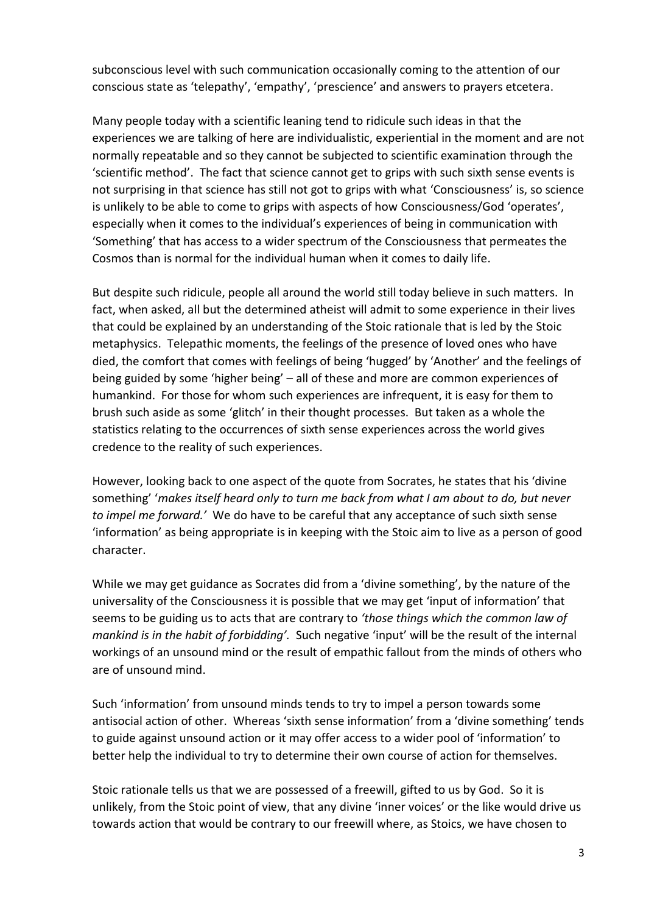subconscious level with such communication occasionally coming to the attention of our conscious state as 'telepathy', 'empathy', 'prescience' and answers to prayers etcetera.

Many people today with a scientific leaning tend to ridicule such ideas in that the experiences we are talking of here are individualistic, experiential in the moment and are not normally repeatable and so they cannot be subjected to scientific examination through the 'scientific method'. The fact that science cannot get to grips with such sixth sense events is not surprising in that science has still not got to grips with what 'Consciousness' is, so science is unlikely to be able to come to grips with aspects of how Consciousness/God 'operates', especially when it comes to the individual's experiences of being in communication with 'Something' that has access to a wider spectrum of the Consciousness that permeates the Cosmos than is normal for the individual human when it comes to daily life.

But despite such ridicule, people all around the world still today believe in such matters. In fact, when asked, all but the determined atheist will admit to some experience in their lives that could be explained by an understanding of the Stoic rationale that is led by the Stoic metaphysics. Telepathic moments, the feelings of the presence of loved ones who have died, the comfort that comes with feelings of being 'hugged' by 'Another' and the feelings of being guided by some 'higher being' – all of these and more are common experiences of humankind. For those for whom such experiences are infrequent, it is easy for them to brush such aside as some 'glitch' in their thought processes. But taken as a whole the statistics relating to the occurrences of sixth sense experiences across the world gives credence to the reality of such experiences.

However, looking back to one aspect of the quote from Socrates, he states that his 'divine something' '*makes itself heard only to turn me back from what I am about to do, but never to impel me forward.'* We do have to be careful that any acceptance of such sixth sense 'information' as being appropriate is in keeping with the Stoic aim to live as a person of good character.

While we may get guidance as Socrates did from a 'divine something', by the nature of the universality of the Consciousness it is possible that we may get 'input of information' that seems to be guiding us to acts that are contrary to *'those things which the common law of mankind is in the habit of forbidding'.* Such negative 'input' will be the result of the internal workings of an unsound mind or the result of empathic fallout from the minds of others who are of unsound mind.

Such 'information' from unsound minds tends to try to impel a person towards some antisocial action of other. Whereas 'sixth sense information' from a 'divine something' tends to guide against unsound action or it may offer access to a wider pool of 'information' to better help the individual to try to determine their own course of action for themselves.

Stoic rationale tells us that we are possessed of a freewill, gifted to us by God. So it is unlikely, from the Stoic point of view, that any divine 'inner voices' or the like would drive us towards action that would be contrary to our freewill where, as Stoics, we have chosen to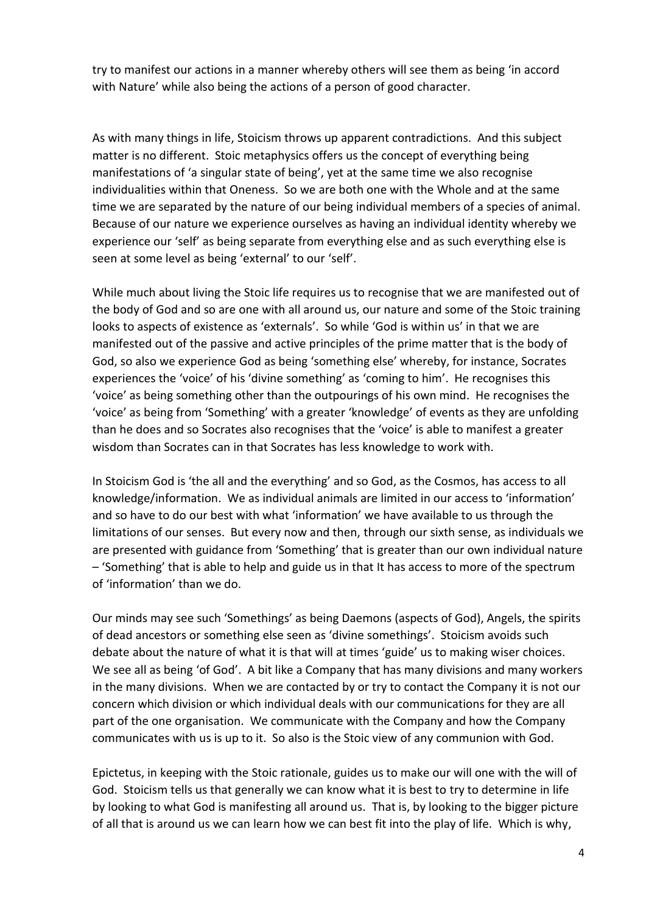try to manifest our actions in a manner whereby others will see them as being 'in accord with Nature' while also being the actions of a person of good character.

As with many things in life, Stoicism throws up apparent contradictions. And this subject matter is no different. Stoic metaphysics offers us the concept of everything being manifestations of 'a singular state of being', yet at the same time we also recognise individualities within that Oneness. So we are both one with the Whole and at the same time we are separated by the nature of our being individual members of a species of animal. Because of our nature we experience ourselves as having an individual identity whereby we experience our 'self' as being separate from everything else and as such everything else is seen at some level as being 'external' to our 'self'.

While much about living the Stoic life requires us to recognise that we are manifested out of the body of God and so are one with all around us, our nature and some of the Stoic training looks to aspects of existence as 'externals'. So while 'God is within us' in that we are manifested out of the passive and active principles of the prime matter that is the body of God, so also we experience God as being 'something else' whereby, for instance, Socrates experiences the 'voice' of his 'divine something' as 'coming to him'. He recognises this 'voice' as being something other than the outpourings of his own mind. He recognises the 'voice' as being from 'Something' with a greater 'knowledge' of events as they are unfolding than he does and so Socrates also recognises that the 'voice' is able to manifest a greater wisdom than Socrates can in that Socrates has less knowledge to work with.

In Stoicism God is 'the all and the everything' and so God, as the Cosmos, has access to all knowledge/information. We as individual animals are limited in our access to 'information' and so have to do our best with what 'information' we have available to us through the limitations of our senses. But every now and then, through our sixth sense, as individuals we are presented with guidance from 'Something' that is greater than our own individual nature – 'Something' that is able to help and guide us in that It has access to more of the spectrum of 'information' than we do.

Our minds may see such 'Somethings' as being Daemons (aspects of God), Angels, the spirits of dead ancestors or something else seen as 'divine somethings'. Stoicism avoids such debate about the nature of what it is that will at times 'guide' us to making wiser choices. We see all as being 'of God'. A bit like a Company that has many divisions and many workers in the many divisions. When we are contacted by or try to contact the Company it is not our concern which division or which individual deals with our communications for they are all part of the one organisation. We communicate with the Company and how the Company communicates with us is up to it. So also is the Stoic view of any communion with God.

Epictetus, in keeping with the Stoic rationale, guides us to make our will one with the will of God. Stoicism tells us that generally we can know what it is best to try to determine in life by looking to what God is manifesting all around us. That is, by looking to the bigger picture of all that is around us we can learn how we can best fit into the play of life. Which is why,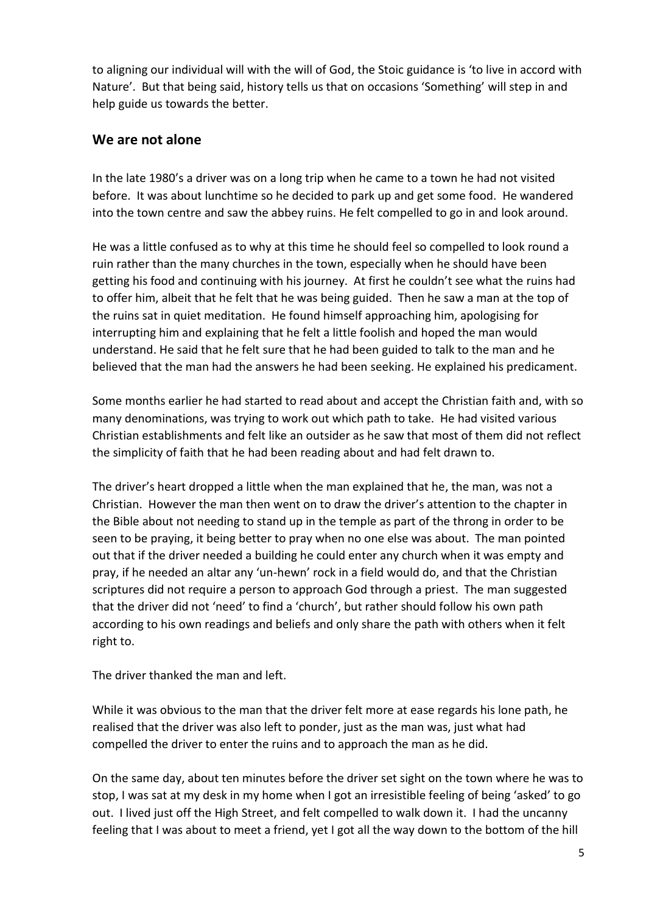to aligning our individual will with the will of God, the Stoic guidance is 'to live in accord with Nature'. But that being said, history tells us that on occasions 'Something' will step in and help guide us towards the better.

## **We are not alone**

In the late 1980's a driver was on a long trip when he came to a town he had not visited before. It was about lunchtime so he decided to park up and get some food. He wandered into the town centre and saw the abbey ruins. He felt compelled to go in and look around.

He was a little confused as to why at this time he should feel so compelled to look round a ruin rather than the many churches in the town, especially when he should have been getting his food and continuing with his journey. At first he couldn't see what the ruins had to offer him, albeit that he felt that he was being guided. Then he saw a man at the top of the ruins sat in quiet meditation. He found himself approaching him, apologising for interrupting him and explaining that he felt a little foolish and hoped the man would understand. He said that he felt sure that he had been guided to talk to the man and he believed that the man had the answers he had been seeking. He explained his predicament.

Some months earlier he had started to read about and accept the Christian faith and, with so many denominations, was trying to work out which path to take. He had visited various Christian establishments and felt like an outsider as he saw that most of them did not reflect the simplicity of faith that he had been reading about and had felt drawn to.

The driver's heart dropped a little when the man explained that he, the man, was not a Christian. However the man then went on to draw the driver's attention to the chapter in the Bible about not needing to stand up in the temple as part of the throng in order to be seen to be praying, it being better to pray when no one else was about. The man pointed out that if the driver needed a building he could enter any church when it was empty and pray, if he needed an altar any 'un-hewn' rock in a field would do, and that the Christian scriptures did not require a person to approach God through a priest. The man suggested that the driver did not 'need' to find a 'church', but rather should follow his own path according to his own readings and beliefs and only share the path with others when it felt right to.

The driver thanked the man and left.

While it was obvious to the man that the driver felt more at ease regards his lone path, he realised that the driver was also left to ponder, just as the man was, just what had compelled the driver to enter the ruins and to approach the man as he did.

On the same day, about ten minutes before the driver set sight on the town where he was to stop, I was sat at my desk in my home when I got an irresistible feeling of being 'asked' to go out. I lived just off the High Street, and felt compelled to walk down it. I had the uncanny feeling that I was about to meet a friend, yet I got all the way down to the bottom of the hill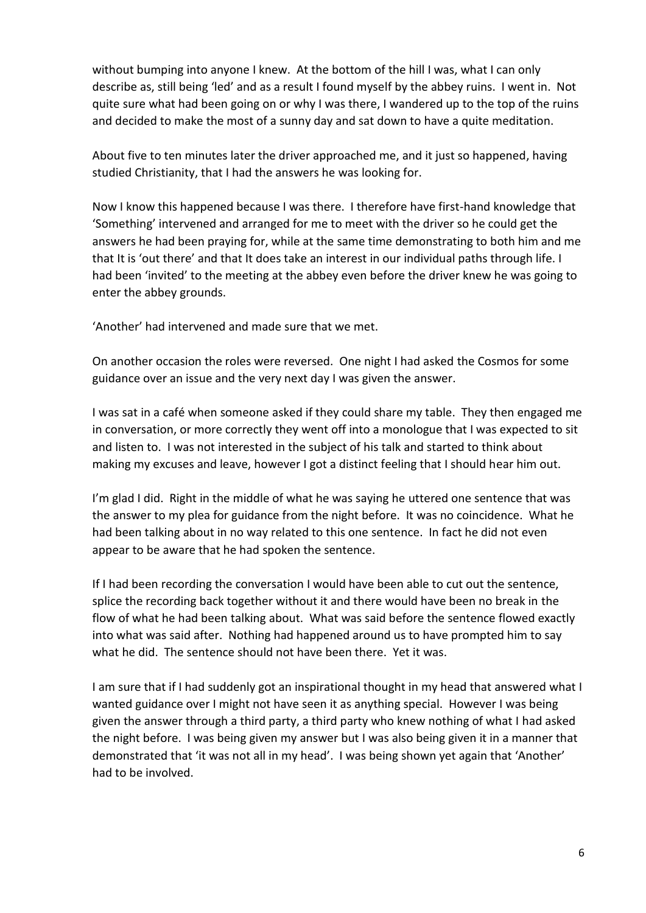without bumping into anyone I knew. At the bottom of the hill I was, what I can only describe as, still being 'led' and as a result I found myself by the abbey ruins. I went in. Not quite sure what had been going on or why I was there, I wandered up to the top of the ruins and decided to make the most of a sunny day and sat down to have a quite meditation.

About five to ten minutes later the driver approached me, and it just so happened, having studied Christianity, that I had the answers he was looking for.

Now I know this happened because I was there. I therefore have first-hand knowledge that 'Something' intervened and arranged for me to meet with the driver so he could get the answers he had been praying for, while at the same time demonstrating to both him and me that It is 'out there' and that It does take an interest in our individual paths through life. I had been 'invited' to the meeting at the abbey even before the driver knew he was going to enter the abbey grounds.

'Another' had intervened and made sure that we met.

On another occasion the roles were reversed. One night I had asked the Cosmos for some guidance over an issue and the very next day I was given the answer.

I was sat in a café when someone asked if they could share my table. They then engaged me in conversation, or more correctly they went off into a monologue that I was expected to sit and listen to. I was not interested in the subject of his talk and started to think about making my excuses and leave, however I got a distinct feeling that I should hear him out.

I'm glad I did. Right in the middle of what he was saying he uttered one sentence that was the answer to my plea for guidance from the night before. It was no coincidence. What he had been talking about in no way related to this one sentence. In fact he did not even appear to be aware that he had spoken the sentence.

If I had been recording the conversation I would have been able to cut out the sentence, splice the recording back together without it and there would have been no break in the flow of what he had been talking about. What was said before the sentence flowed exactly into what was said after. Nothing had happened around us to have prompted him to say what he did. The sentence should not have been there. Yet it was.

I am sure that if I had suddenly got an inspirational thought in my head that answered what I wanted guidance over I might not have seen it as anything special. However I was being given the answer through a third party, a third party who knew nothing of what I had asked the night before. I was being given my answer but I was also being given it in a manner that demonstrated that 'it was not all in my head'. I was being shown yet again that 'Another' had to be involved.